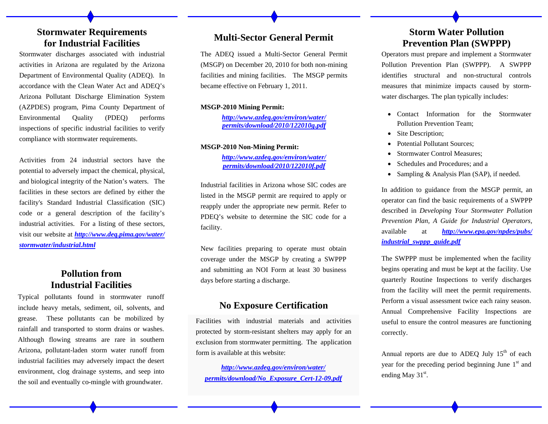### **Stormwater Requirements for Industrial Facilities Multi-Sector General Permit**

Stormwater discharges associated with industrial activities in Arizona are regulated by the Arizona Department of Environmental Quality (ADEQ). In accordance with the Clean Water Act and ADEQ's Arizona Pollutant Discharge Elimination System (AZPDES) program, Pima County Department of Environmental Quality (PDEQ) performs inspections of specific industrial facilities to verify compliance with stormwater requirements.

Activities from 24 industrial sectors have the potential to adversely impact the chemical, physical, and biological integrity of the Nation's waters. The facilities in these sectors are defined by either the facility's Standard Industrial Classification (SIC) code or a general description of the facility's industrial activities. For a listing of these sectors, visit our website at *http://www.deq.pima.gov/water/ stormwater/industrial.html* 

## **Pollution from Industrial Facilities**

Typical pollutants found in stormwater runoff include heavy metals, sediment, oil, solvents, and grease. These pollutants can be mobilized by rainfall and transported to storm drains or washes. Although flowing streams are rare in southern Arizona, pollutant-laden storm water runoff from industrial facilities may adversely impact the desert environment, clog drainage systems, and seep into the soil and eventually co-mingle with groundwater.

The ADEQ issued a Multi-Sector General Permit (MSGP) on December 20, 2010 for both non-mining facilities and mining facilities. The MSGP permits became effective on February 1, 2011.

#### **MSGP-2010 Mining Permit:**

*http://www.azdeq.gov/environ/water/ permits/download/2010/122010g.pdf*

#### **MSGP-2010 Non-Mining Permit:**

*http://www.azdeq.gov/environ/water/ permits/download/2010/122010f.pdf*

Industrial facilities in Arizona whose SIC codes are listed in the MSGP permit are required to apply or reapply under the appropriate new permit. Refer to PDEQ's website to determine the SIC code for a facility.

New facilities preparing to operate must obtain coverage under the MSGP by creating a SWPPP and submitting an NOI Form at least 30 business days before starting a discharge.

#### **No Exposure Certification**

Facilities with industrial materials and activities protected by storm-resistant shelters may apply for an exclusion from stormwater permitting. The application form is available at this website:

*http://www.azdeq.gov/environ/water/ permits/download/No\_Exposure\_Cert-12-09.pdf* 

## **Storm Water Pollution Prevention Plan (SWPPP)**

Operators must prepare and implement a Stormwater Pollution Prevention Plan (SWPPP). A SWPPP identifies structural and non-structural controls measures that minimize impacts caused by stormwater discharges. The plan typically includes:

- Contact Information for the Stormwater Pollution Prevention Team;
- Site Description;
- $\bullet$ Potential Pollutant Sources;
- $\bullet$ Stormwater Control Measures;
- $\bullet$ Schedules and Procedures; and a
- $\bullet$ Sampling & Analysis Plan (SAP), if needed.

In addition to guidance from the MSGP permit, an operator can find the basic requirements of a SWPPP described in *Developing Your Stormwater Pollution Prevention Plan, A Guide for Industrial Operators,*  available at *http://www.epa.gov/npdes/pubs/ industrial\_swppp\_guide.pdf* 

The SWPPP must be implemented when the facility begins operating and must be kept at the facility. Use quarterly Routine Inspections to verify discharges from the facility will meet the permit requirements. Perform a visual assessment twice each rainy season. Annual Comprehensive Facility Inspections are useful to ensure the control measures are functioning correctly.

Annual reports are due to ADEQ July  $15<sup>th</sup>$  of each year for the preceding period beginning June  $1<sup>st</sup>$  and ending May  $31<sup>st</sup>$ .